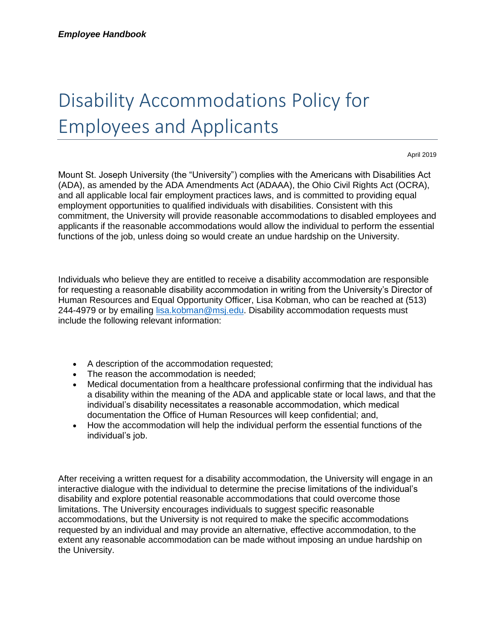## Disability Accommodations Policy for Employees and Applicants

April 2019

Mount St. Joseph University (the "University") complies with the Americans with Disabilities Act (ADA), as amended by the ADA Amendments Act (ADAAA), the Ohio Civil Rights Act (OCRA), and all applicable local fair employment practices laws, and is committed to providing equal employment opportunities to qualified individuals with disabilities. Consistent with this commitment, the University will provide reasonable accommodations to disabled employees and applicants if the reasonable accommodations would allow the individual to perform the essential functions of the job, unless doing so would create an undue hardship on the University.

Individuals who believe they are entitled to receive a disability accommodation are responsible for requesting a reasonable disability accommodation in writing from the University's Director of Human Resources and Equal Opportunity Officer, Lisa Kobman, who can be reached at (513) 244-4979 or by emailing [lisa.kobman@msj.edu.](mailto:lisa.kobman@msj.edu) Disability accommodation requests must include the following relevant information:

- A description of the accommodation requested;
- The reason the accommodation is needed;
- Medical documentation from a healthcare professional confirming that the individual has a disability within the meaning of the ADA and applicable state or local laws, and that the individual's disability necessitates a reasonable accommodation, which medical documentation the Office of Human Resources will keep confidential; and,
- How the accommodation will help the individual perform the essential functions of the individual's job.

After receiving a written request for a disability accommodation, the University will engage in an interactive dialogue with the individual to determine the precise limitations of the individual's disability and explore potential reasonable accommodations that could overcome those limitations. The University encourages individuals to suggest specific reasonable accommodations, but the University is not required to make the specific accommodations requested by an individual and may provide an alternative, effective accommodation, to the extent any reasonable accommodation can be made without imposing an undue hardship on the University.